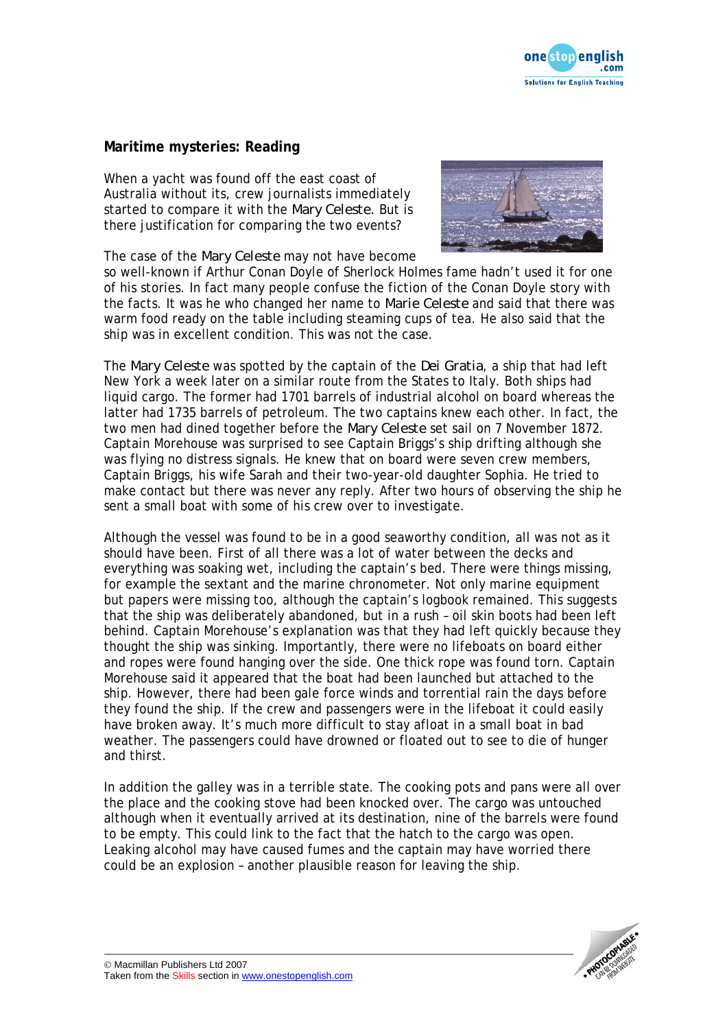

## **Maritime mysteries: Reading**

When a yacht was found off the east coast of Australia without its, crew journalists immediately started to compare it with the *Mary Celeste.* But is there justification for comparing the two events?

The case of the *Mary Celeste* may not have become



so well-known if Arthur Conan Doyle of Sherlock Holmes fame hadn't used it for one of his stories. In fact many people confuse the fiction of the Conan Doyle story with the facts. It was he who changed her name to *Marie Celeste* and said that there was warm food ready on the table including steaming cups of tea. He also said that the ship was in excellent condition. This was not the case.

The *Mary Celeste* was spotted by the captain of the *Dei Gratia*, a ship that had left New York a week later on a similar route from the States to Italy. Both ships had liquid cargo. The former had 1701 barrels of industrial alcohol on board whereas the latter had 1735 barrels of petroleum. The two captains knew each other. In fact, the two men had dined together before the *Mary Celeste* set sail on 7 November 1872. Captain Morehouse was surprised to see Captain Briggs's ship drifting although she was flying no distress signals. He knew that on board were seven crew members, Captain Briggs, his wife Sarah and their two-year-old daughter Sophia. He tried to make contact but there was never any reply. After two hours of observing the ship he sent a small boat with some of his crew over to investigate.

Although the vessel was found to be in a good seaworthy condition, all was not as it should have been. First of all there was a lot of water between the decks and everything was soaking wet, including the captain's bed. There were things missing, for example the sextant and the marine chronometer. Not only marine equipment but papers were missing too, although the captain's logbook remained. This suggests that the ship was deliberately abandoned, but in a rush – oil skin boots had been left behind. Captain Morehouse's explanation was that they had left quickly because they thought the ship was sinking. Importantly, there were no lifeboats on board either and ropes were found hanging over the side. One thick rope was found torn. Captain Morehouse said it appeared that the boat had been launched but attached to the ship. However, there had been gale force winds and torrential rain the days before they found the ship. If the crew and passengers were in the lifeboat it could easily have broken away. It's much more difficult to stay afloat in a small boat in bad weather. The passengers could have drowned or floated out to see to die of hunger and thirst.

In addition the galley was in a terrible state. The cooking pots and pans were all over the place and the cooking stove had been knocked over. The cargo was untouched although when it eventually arrived at its destination, nine of the barrels were found to be empty. This could link to the fact that the hatch to the cargo was open. Leaking alcohol may have caused fumes and the captain may have worried there could be an explosion – another plausible reason for leaving the ship.